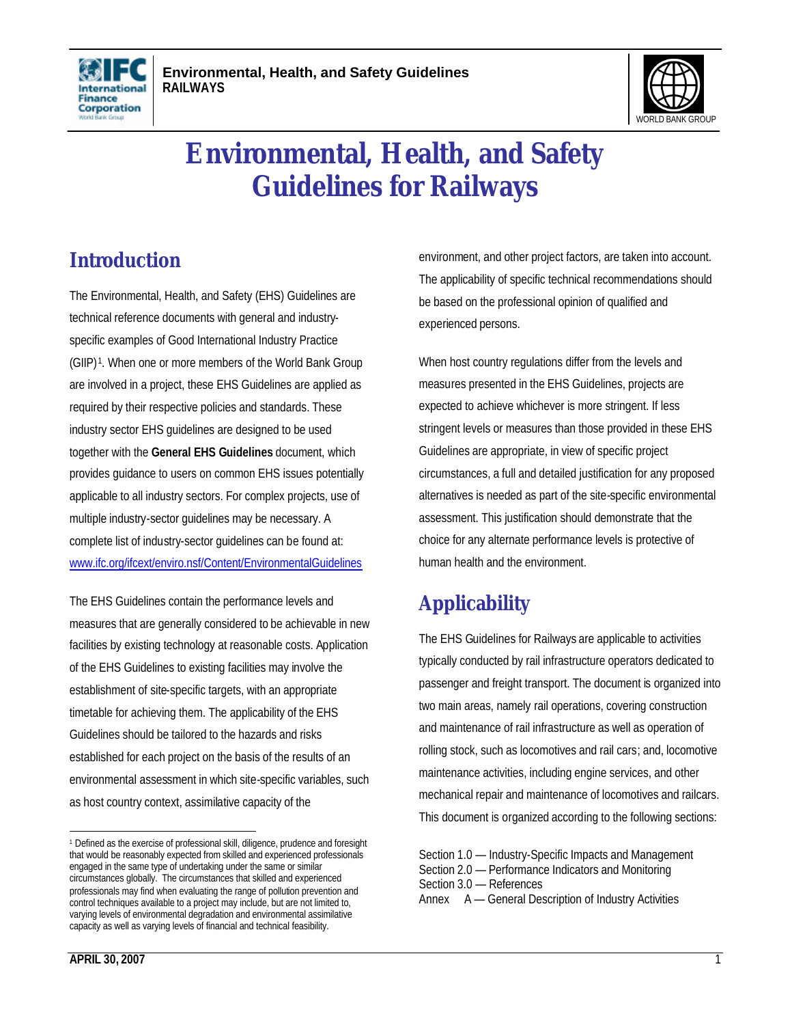



# **Environmental, Health, and Safety Guidelines for Railways**

# **Introduction**

The Environmental, Health, and Safety (EHS) Guidelines are technical reference documents with general and industryspecific examples of Good International Industry Practice (GIIP) <sup>1</sup> . When one or more members of the World Bank Group are involved in a project, these EHS Guidelines are applied as required by their respective policies and standards. These industry sector EHS guidelines are designed to be used together with the **General EHS Guidelines** document, which provides guidance to users on common EHS issues potentially applicable to all industry sectors. For complex projects, use of multiple industry-sector guidelines may be necessary. A complete list of industry-sector guidelines can be found at: www.ifc.org/ifcext/enviro.nsf/Content/EnvironmentalGuidelines

The EHS Guidelines contain the performance levels and measures that are generally considered to be achievable in new facilities by existing technology at reasonable costs. Application of the EHS Guidelines to existing facilities may involve the establishment of site-specific targets, with an appropriate timetable for achieving them. The applicability of the EHS Guidelines should be tailored to the hazards and risks established for each project on the basis of the results of an environmental assessment in which site-specific variables, such as host country context, assimilative capacity of the

environment, and other project factors, are taken into account. The applicability of specific technical recommendations should be based on the professional opinion of qualified and experienced persons.

When host country regulations differ from the levels and measures presented in the EHS Guidelines, projects are expected to achieve whichever is more stringent. If less stringent levels or measures than those provided in these EHS Guidelines are appropriate, in view of specific project circumstances, a full and detailed justification for any proposed alternatives is needed as part of the site-specific environmental assessment. This justification should demonstrate that the choice for any alternate performance levels is protective of human health and the environment.

# **Applicability**

The EHS Guidelines for Railways are applicable to activities typically conducted by rail infrastructure operators dedicated to passenger and freight transport. The document is organized into two main areas, namely rail operations, covering construction and maintenance of rail infrastructure as well as operation of rolling stock, such as locomotives and rail cars; and, locomotive maintenance activities, including engine services, and other mechanical repair and maintenance of locomotives and railcars. This document is organized according to the following sections:

<sup>1</sup> Defined as the exercise of professional skill, diligence, prudence and foresight that would be reasonably expected from skilled and experienced professionals engaged in the same type of undertaking under the same or similar circumstances globally. The circumstances that skilled and experienced professionals may find when evaluating the range of pollution prevention and control techniques available to a project may include, but are not limited to, varying levels of environmental degradation and environmental assimilative capacity as well as varying levels of financial and technical feasibility.

Section 1.0 — Industry-Specific Impacts and Management Section 2.0 — Performance Indicators and Monitoring Section 3.0 — References Annex A — General Description of Industry Activities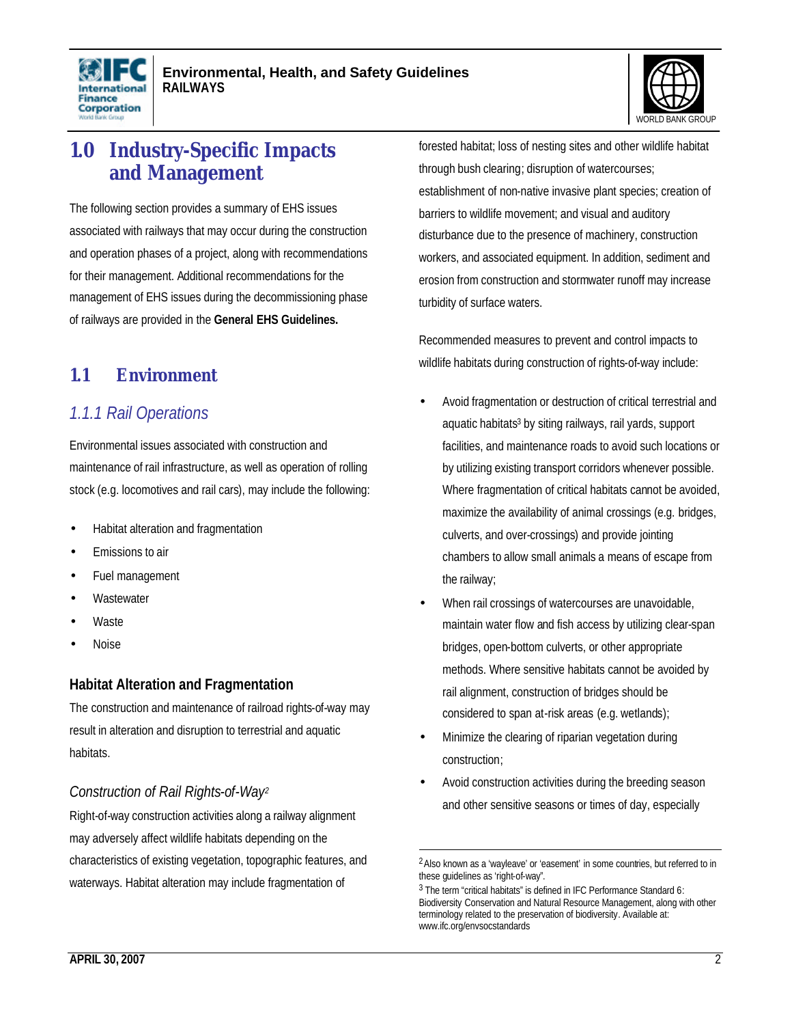



# **1.0 Industry-Specific Impacts and Management**

The following section provides a summary of EHS issues associated with railways that may occur during the construction and operation phases of a project, along with recommendations for their management. Additional recommendations for the management of EHS issues during the decommissioning phase of railways are provided in the **General EHS Guidelines.**

### **1.1 Environment**

### *1.1.1 Rail Operations*

Environmental issues associated with construction and maintenance of rail infrastructure, as well as operation of rolling stock (e.g. locomotives and rail cars), may include the following:

- Habitat alteration and fragmentation
- Emissions to air
- Fuel management
- **Wastewater**
- **Waste**
- Noise

### **Habitat Alteration and Fragmentation**

The construction and maintenance of railroad rights-of-way may result in alteration and disruption to terrestrial and aquatic habitats.

### *Construction of Rail Rights-of-Way<sup>2</sup>*

Right-of-way construction activities along a railway alignment may adversely affect wildlife habitats depending on the characteristics of existing vegetation, topographic features, and waterways. Habitat alteration may include fragmentation of

forested habitat; loss of nesting sites and other wildlife habitat through bush clearing; disruption of watercourses; establishment of non-native invasive plant species; creation of barriers to wildlife movement; and visual and auditory disturbance due to the presence of machinery, construction workers, and associated equipment. In addition, sediment and erosion from construction and stormwater runoff may increase turbidity of surface waters.

Recommended measures to prevent and control impacts to wildlife habitats during construction of rights-of-way include:

- Avoid fragmentation or destruction of critical terrestrial and aquatic habitats<sup>3</sup> by siting railways, rail yards, support facilities, and maintenance roads to avoid such locations or by utilizing existing transport corridors whenever possible. Where fragmentation of critical habitats cannot be avoided, maximize the availability of animal crossings (e.g. bridges, culverts, and over-crossings) and provide jointing chambers to allow small animals a means of escape from the railway;
- When rail crossings of watercourses are unavoidable, maintain water flow and fish access by utilizing clear-span bridges, open-bottom culverts, or other appropriate methods. Where sensitive habitats cannot be avoided by rail alignment, construction of bridges should be considered to span at-risk areas (e.g. wetlands);
- Minimize the clearing of riparian vegetation during construction;

 $\overline{a}$ 

Avoid construction activities during the breeding season and other sensitive seasons or times of day, especially

<sup>&</sup>lt;sup>2</sup> Also known as a 'wayleave' or 'easement' in some countries, but referred to in these guidelines as 'right-of-way".

<sup>&</sup>lt;sup>3</sup> The term "critical habitats" is defined in IFC Performance Standard 6: Biodiversity Conservation and Natural Resource Management, along with other terminology related to the preservation of biodiversity. Available at: www.ifc.org/envsocstandards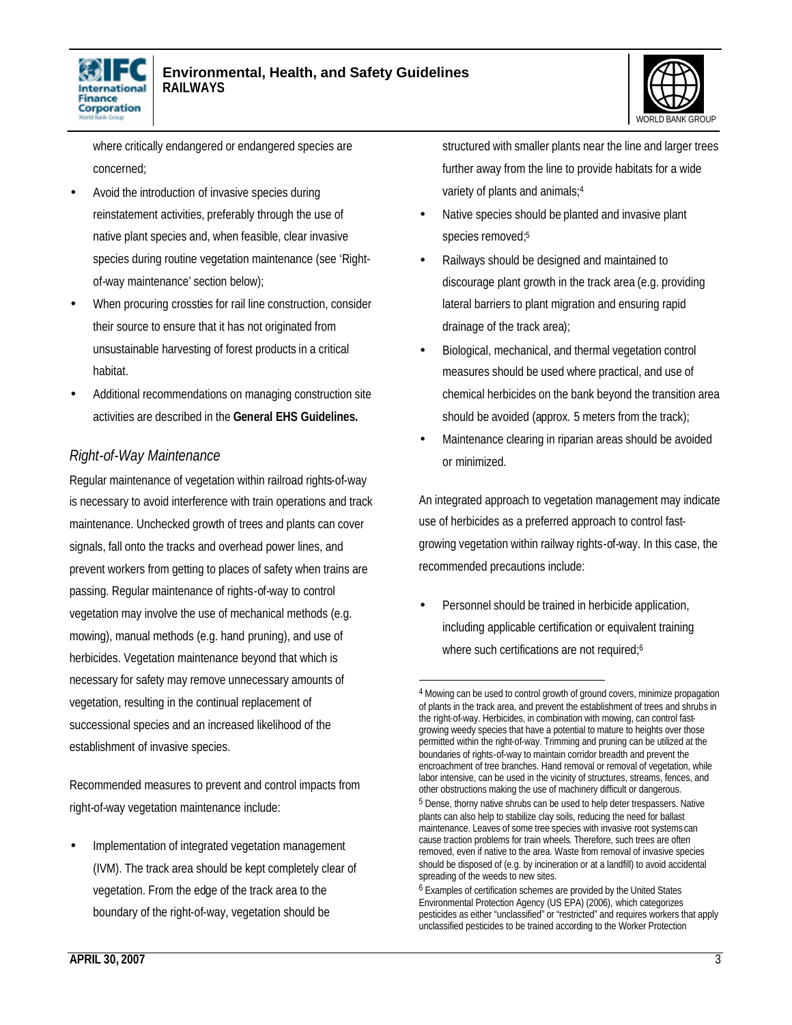



where critically endangered or endangered species are concerned;

- Avoid the introduction of invasive species during reinstatement activities, preferably through the use of native plant species and, when feasible, clear invasive species during routine vegetation maintenance (see 'Rightof-way maintenance' section below);
- When procuring crossties for rail line construction, consider their source to ensure that it has not originated from unsustainable harvesting of forest products in a critical habitat.
- Additional recommendations on managing construction site activities are described in the **General EHS Guidelines.**

### *Right-of-Way Maintenance*

Regular maintenance of vegetation within railroad rights-of-way is necessary to avoid interference with train operations and track maintenance. Unchecked growth of trees and plants can cover signals, fall onto the tracks and overhead power lines, and prevent workers from getting to places of safety when trains are passing. Regular maintenance of rights-of-way to control vegetation may involve the use of mechanical methods (e.g. mowing), manual methods (e.g. hand pruning), and use of herbicides. Vegetation maintenance beyond that which is necessary for safety may remove unnecessary amounts of vegetation, resulting in the continual replacement of successional species and an increased likelihood of the establishment of invasive species.

Recommended measures to prevent and control impacts from right-of-way vegetation maintenance include:

• Implementation of integrated vegetation management (IVM). The track area should be kept completely clear of vegetation. From the edge of the track area to the boundary of the right-of-way, vegetation should be

structured with smaller plants near the line and larger trees further away from the line to provide habitats for a wide variety of plants and animals;<sup>4</sup>

- Native species should be planted and invasive plant species removed;<sup>5</sup>
- Railways should be designed and maintained to discourage plant growth in the track area (e.g. providing lateral barriers to plant migration and ensuring rapid drainage of the track area);
- Biological, mechanical, and thermal vegetation control measures should be used where practical, and use of chemical herbicides on the bank beyond the transition area should be avoided (approx. 5 meters from the track);
- Maintenance clearing in riparian areas should be avoided or minimized.

An integrated approach to vegetation management may indicate use of herbicides as a preferred approach to control fastgrowing vegetation within railway rights-of-way. In this case, the recommended precautions include:

Personnel should be trained in herbicide application, including applicable certification or equivalent training where such certifications are not required;<sup>6</sup>

<sup>4</sup> Mowing can be used to control growth of ground covers, minimize propagation of plants in the track area, and prevent the establishment of trees and shrubs in the right-of-way. Herbicides, in combination with mowing, can control fastgrowing weedy species that have a potential to mature to heights over those permitted within the right-of-way. Trimming and pruning can be utilized at the boundaries of rights-of-way to maintain corridor breadth and prevent the encroachment of tree branches. Hand removal or removal of vegetation, while labor intensive, can be used in the vicinity of structures, streams, fences, and other obstructions making the use of machinery difficult or dangerous.

<sup>&</sup>lt;sup>5</sup> Dense, thorny native shrubs can be used to help deter trespassers. Native plants can also help to stabilize clay soils, reducing the need for ballast maintenance. Leaves of some tree species with invasive root systems can cause traction problems for train wheels. Therefore, such trees are often removed, even if native to the area. Waste from removal of invasive species should be disposed of (e.g. by incineration or at a landfill) to avoid accidental spreading of the weeds to new sites.

<sup>6</sup> Examples of certification schemes are provided by the United States Environmental Protection Agency (US EPA) (2006), which categorizes pesticides as either "unclassified" or "restricted" and requires workers that apply unclassified pesticides to be trained according to the Worker Protection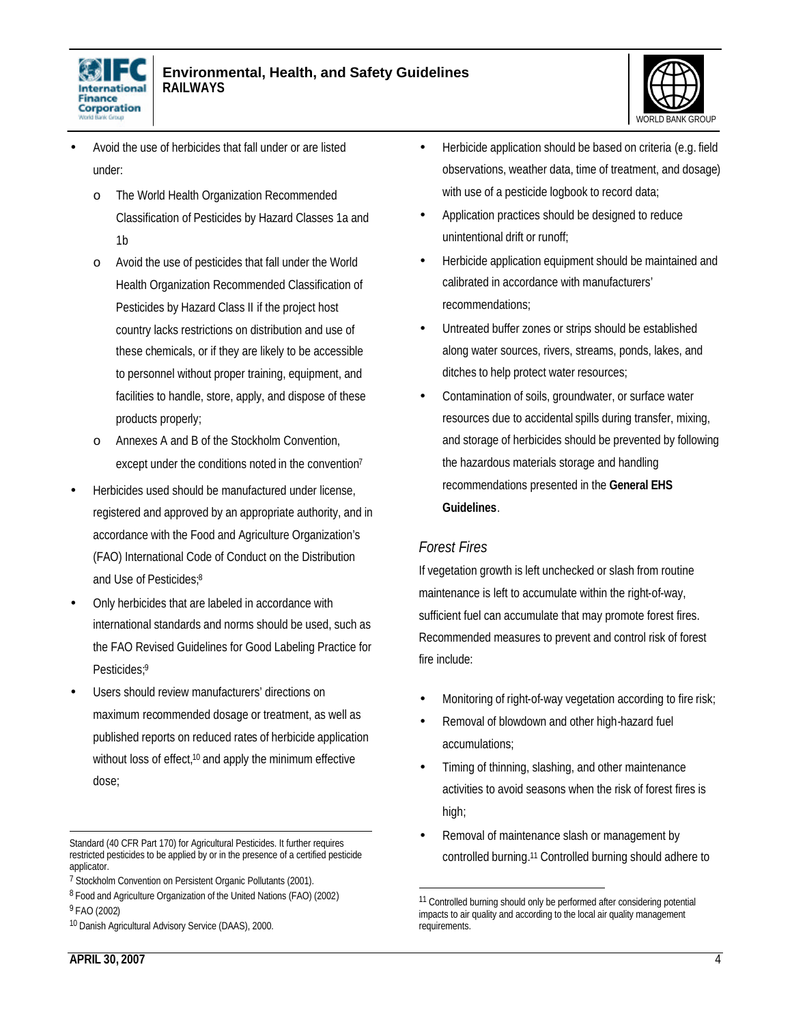



- Avoid the use of herbicides that fall under or are listed under:
	- o The World Health Organization Recommended Classification of Pesticides by Hazard Classes 1a and 1b
	- o Avoid the use of pesticides that fall under the World Health Organization Recommended Classification of Pesticides by Hazard Class II if the project host country lacks restrictions on distribution and use of these chemicals, or if they are likely to be accessible to personnel without proper training, equipment, and facilities to handle, store, apply, and dispose of these products properly;
	- o Annexes A and B of the Stockholm Convention, except under the conditions noted in the convention<sup>7</sup>
- Herbicides used should be manufactured under license, registered and approved by an appropriate authority, and in accordance with the Food and Agriculture Organization's (FAO) International Code of Conduct on the Distribution and Use of Pesticides;<sup>8</sup>
- Only herbicides that are labeled in accordance with international standards and norms should be used, such as the FAO Revised Guidelines for Good Labeling Practice for Pesticides;<sup>9</sup>
- Users should review manufacturers' directions on maximum recommended dosage or treatment, as well as published reports on reduced rates of herbicide application without loss of effect,<sup>10</sup> and apply the minimum effective dose;
- Herbicide application should be based on criteria (e.g. field observations, weather data, time of treatment, and dosage) with use of a pesticide logbook to record data;
- Application practices should be designed to reduce unintentional drift or runoff;
- Herbicide application equipment should be maintained and calibrated in accordance with manufacturers' recommendations;
- Untreated buffer zones or strips should be established along water sources, rivers, streams, ponds, lakes, and ditches to help protect water resources;
- Contamination of soils, groundwater, or surface water resources due to accidental spills during transfer, mixing, and storage of herbicides should be prevented by following the hazardous materials storage and handling recommendations presented in the **General EHS Guidelines**.

### *Forest Fires*

 $\overline{a}$ 

If vegetation growth is left unchecked or slash from routine maintenance is left to accumulate within the right-of-way, sufficient fuel can accumulate that may promote forest fires. Recommended measures to prevent and control risk of forest fire include:

- Monitoring of right-of-way vegetation according to fire risk;
- Removal of blowdown and other high-hazard fuel accumulations;
- Timing of thinning, slashing, and other maintenance activities to avoid seasons when the risk of forest fires is high;
- Removal of maintenance slash or management by controlled burning.11 Controlled burning should adhere to

 $\overline{a}$ Standard (40 CFR Part 170) for Agricultural Pesticides. It further requires restricted pesticides to be applied by or in the presence of a certified pesticide applicator.

<sup>&</sup>lt;sup>7</sup> Stockholm Convention on Persistent Organic Pollutants (2001).

<sup>&</sup>lt;sup>8</sup> Food and Agriculture Organization of the United Nations (FAO) (2002) 9 FAO (2002)

<sup>10</sup> Danish Agricultural Advisory Service (DAAS), 2000.

<sup>&</sup>lt;sup>11</sup> Controlled burning should only be performed after considering potential impacts to air quality and according to the local air quality management requirements.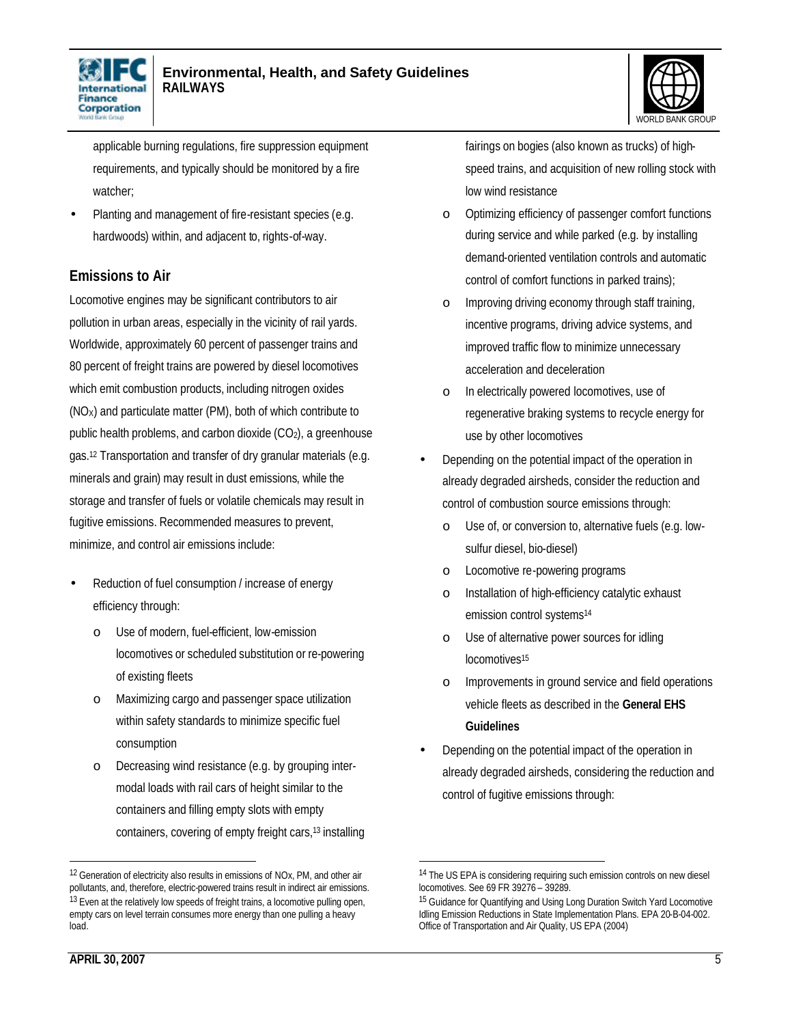



applicable burning regulations, fire suppression equipment requirements, and typically should be monitored by a fire watcher;

• Planting and management of fire-resistant species (e.g. hardwoods) within, and adjacent to, rights-of-way.

### **Emissions to Air**

Locomotive engines may be significant contributors to air pollution in urban areas, especially in the vicinity of rail yards. Worldwide, approximately 60 percent of passenger trains and 80 percent of freight trains are powered by diesel locomotives which emit combustion products, including nitrogen oxides  $(NO_X)$  and particulate matter (PM), both of which contribute to public health problems, and carbon dioxide  $(CO<sub>2</sub>)$ , a greenhouse gas.<sup>12</sup> Transportation and transfer of dry granular materials (e.g. minerals and grain) may result in dust emissions, while the storage and transfer of fuels or volatile chemicals may result in fugitive emissions. Recommended measures to prevent, minimize, and control air emissions include:

- Reduction of fuel consumption / increase of energy efficiency through:
	- o Use of modern, fuel-efficient, low-emission locomotives or scheduled substitution or re-powering of existing fleets
	- o Maximizing cargo and passenger space utilization within safety standards to minimize specific fuel consumption
	- o Decreasing wind resistance (e.g. by grouping intermodal loads with rail cars of height similar to the containers and filling empty slots with empty containers, covering of empty freight cars,<sup>13</sup> installing

fairings on bogies (also known as trucks) of highspeed trains, and acquisition of new rolling stock with low wind resistance

- o Optimizing efficiency of passenger comfort functions during service and while parked (e.g. by installing demand-oriented ventilation controls and automatic control of comfort functions in parked trains);
- o Improving driving economy through staff training, incentive programs, driving advice systems, and improved traffic flow to minimize unnecessary acceleration and deceleration
- In electrically powered locomotives, use of regenerative braking systems to recycle energy for use by other locomotives
- Depending on the potential impact of the operation in already degraded airsheds, consider the reduction and control of combustion source emissions through:
	- o Use of, or conversion to, alternative fuels (e.g. lowsulfur diesel, bio-diesel)
	- o Locomotive re-powering programs
	- o Installation of high-efficiency catalytic exhaust emission control systems<sup>14</sup>
	- o Use of alternative power sources for idling locomotives<sup>15</sup>
	- o Improvements in ground service and field operations vehicle fleets as described in the **General EHS Guidelines**
- Depending on the potential impact of the operation in already degraded airsheds, considering the reduction and control of fugitive emissions through:

 $\overline{a}$ 

<sup>12</sup> Generation of electricity also results in emissions of NOx, PM, and other air pollutants, and, therefore, electric-powered trains result in indirect air emissions. <sup>13</sup> Even at the relatively low speeds of freight trains, a locomotive pulling open, empty cars on level terrain consumes more energy than one pulling a heavy load.

<sup>&</sup>lt;sup>14</sup> The US EPA is considering requiring such emission controls on new diesel locomotives. See 69 FR 39276 – 39289.

<sup>&</sup>lt;sup>15</sup> Guidance for Quantifying and Using Long Duration Switch Yard Locomotive Idling Emission Reductions in State Implementation Plans. EPA 20-B-04-002. Office of Transportation and Air Quality, US EPA (2004)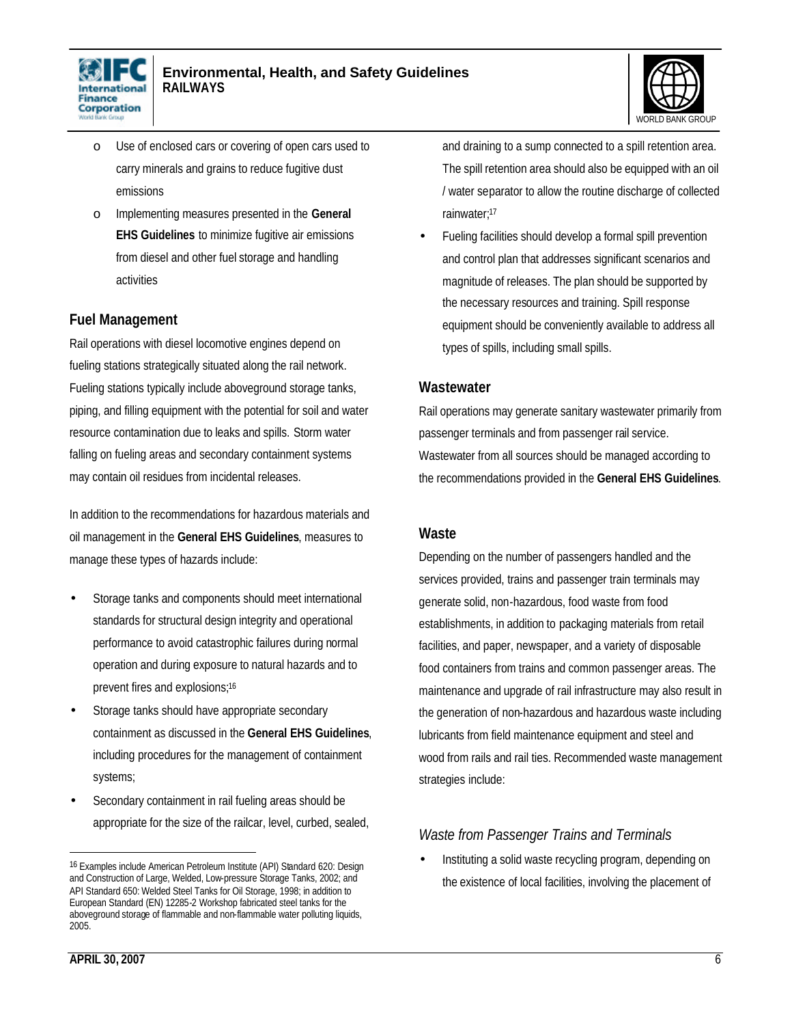



- o Use of enclosed cars or covering of open cars used to carry minerals and grains to reduce fugitive dust emissions
- o Implementing measures presented in the **General EHS Guidelines** to minimize fugitive air emissions from diesel and other fuel storage and handling activities

### **Fuel Management**

Rail operations with diesel locomotive engines depend on fueling stations strategically situated along the rail network. Fueling stations typically include aboveground storage tanks, piping, and filling equipment with the potential for soil and water resource contamination due to leaks and spills. Storm water falling on fueling areas and secondary containment systems may contain oil residues from incidental releases.

In addition to the recommendations for hazardous materials and oil management in the **General EHS Guidelines**, measures to manage these types of hazards include:

- Storage tanks and components should meet international standards for structural design integrity and operational performance to avoid catastrophic failures during normal operation and during exposure to natural hazards and to prevent fires and explosions;<sup>16</sup>
- Storage tanks should have appropriate secondary containment as discussed in the **General EHS Guidelines**, including procedures for the management of containment systems;
- Secondary containment in rail fueling areas should be appropriate for the size of the railcar, level, curbed, sealed,

and draining to a sump connected to a spill retention area. The spill retention area should also be equipped with an oil / water separator to allow the routine discharge of collected rainwater;<sup>17</sup>

• Fueling facilities should develop a formal spill prevention and control plan that addresses significant scenarios and magnitude of releases. The plan should be supported by the necessary resources and training. Spill response equipment should be conveniently available to address all types of spills, including small spills.

#### **Wastewater**

Rail operations may generate sanitary wastewater primarily from passenger terminals and from passenger rail service. Wastewater from all sources should be managed according to the recommendations provided in the **General EHS Guidelines**.

#### **Waste**

Depending on the number of passengers handled and the services provided, trains and passenger train terminals may generate solid, non-hazardous, food waste from food establishments, in addition to packaging materials from retail facilities, and paper, newspaper, and a variety of disposable food containers from trains and common passenger areas. The maintenance and upgrade of rail infrastructure may also result in the generation of non-hazardous and hazardous waste including lubricants from field maintenance equipment and steel and wood from rails and rail ties. Recommended waste management strategies include:

### *Waste from Passenger Trains and Terminals*

• Instituting a solid waste recycling program, depending on the existence of local facilities, involving the placement of

<sup>16</sup> Examples include American Petroleum Institute (API) Standard 620: Design and Construction of Large, Welded, Low-pressure Storage Tanks, 2002; and API Standard 650: Welded Steel Tanks for Oil Storage, 1998; in addition to European Standard (EN) 12285-2 Workshop fabricated steel tanks for the aboveground storage of flammable and non-flammable water polluting liquids, 2005.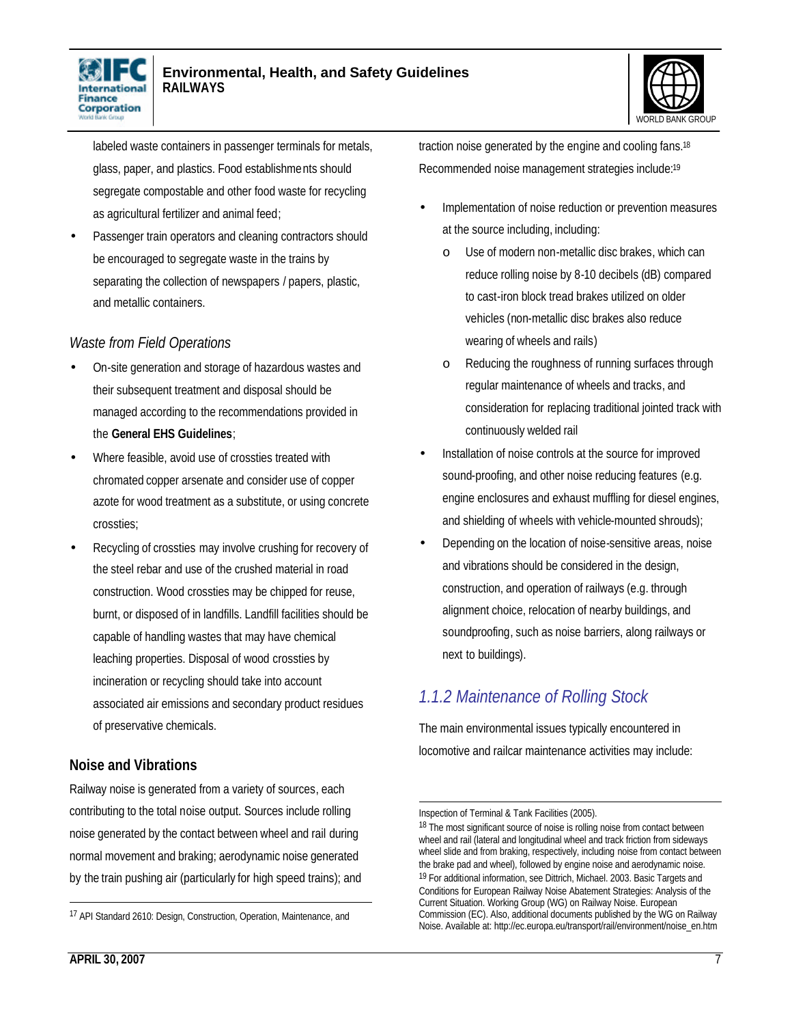



labeled waste containers in passenger terminals for metals, glass, paper, and plastics. Food establishments should segregate compostable and other food waste for recycling as agricultural fertilizer and animal feed;

Passenger train operators and cleaning contractors should be encouraged to segregate waste in the trains by separating the collection of newspapers / papers, plastic, and metallic containers.

### *Waste from Field Operations*

- On-site generation and storage of hazardous wastes and their subsequent treatment and disposal should be managed according to the recommendations provided in the **General EHS Guidelines**;
- Where feasible, avoid use of crossties treated with chromated copper arsenate and consider use of copper azote for wood treatment as a substitute, or using concrete crossties;
- Recycling of crossties may involve crushing for recovery of the steel rebar and use of the crushed material in road construction. Wood crossties may be chipped for reuse, burnt, or disposed of in landfills. Landfill facilities should be capable of handling wastes that may have chemical leaching properties. Disposal of wood crossties by incineration or recycling should take into account associated air emissions and secondary product residues of preservative chemicals.

### **Noise and Vibrations**

Railway noise is generated from a variety of sources, each contributing to the total noise output. Sources include rolling noise generated by the contact between wheel and rail during normal movement and braking; aerodynamic noise generated by the train pushing air (particularly for high speed trains); and traction noise generated by the engine and cooling fans.<sup>18</sup> Recommended noise management strategies include:<sup>19</sup>

- Implementation of noise reduction or prevention measures at the source including, including:
	- o Use of modern non-metallic disc brakes, which can reduce rolling noise by 8-10 decibels (dB) compared to cast-iron block tread brakes utilized on older vehicles (non-metallic disc brakes also reduce wearing of wheels and rails)
	- o Reducing the roughness of running surfaces through regular maintenance of wheels and tracks, and consideration for replacing traditional jointed track with continuously welded rail
- Installation of noise controls at the source for improved sound-proofing, and other noise reducing features (e.g. engine enclosures and exhaust muffling for diesel engines, and shielding of wheels with vehicle-mounted shrouds);
- Depending on the location of noise-sensitive areas, noise and vibrations should be considered in the design, construction, and operation of railways (e.g. through alignment choice, relocation of nearby buildings, and soundproofing, such as noise barriers, along railways or next to buildings).

# *1.1.2 Maintenance of Rolling Stock*

The main environmental issues typically encountered in locomotive and railcar maintenance activities may include:

 $\overline{a}$ 

l

<sup>17</sup> API Standard 2610: Design, Construction, Operation, Maintenance, and

Inspection of Terminal & Tank Facilities (2005).

<sup>&</sup>lt;sup>18</sup> The most significant source of noise is rolling noise from contact between wheel and rail (lateral and longitudinal wheel and track friction from sideways wheel slide and from braking, respectively, including noise from contact between the brake pad and wheel), followed by engine noise and aerodynamic noise. 19 For additional information, see Dittrich, Michael. 2003. Basic Targets and Conditions for European Railway Noise Abatement Strategies: Analysis of the Current Situation. Working Group (WG) on Railway Noise. European Commission (EC). Also, additional documents published by the WG on Railway Noise. Available at: http://ec.europa.eu/transport/rail/environment/noise\_en.htm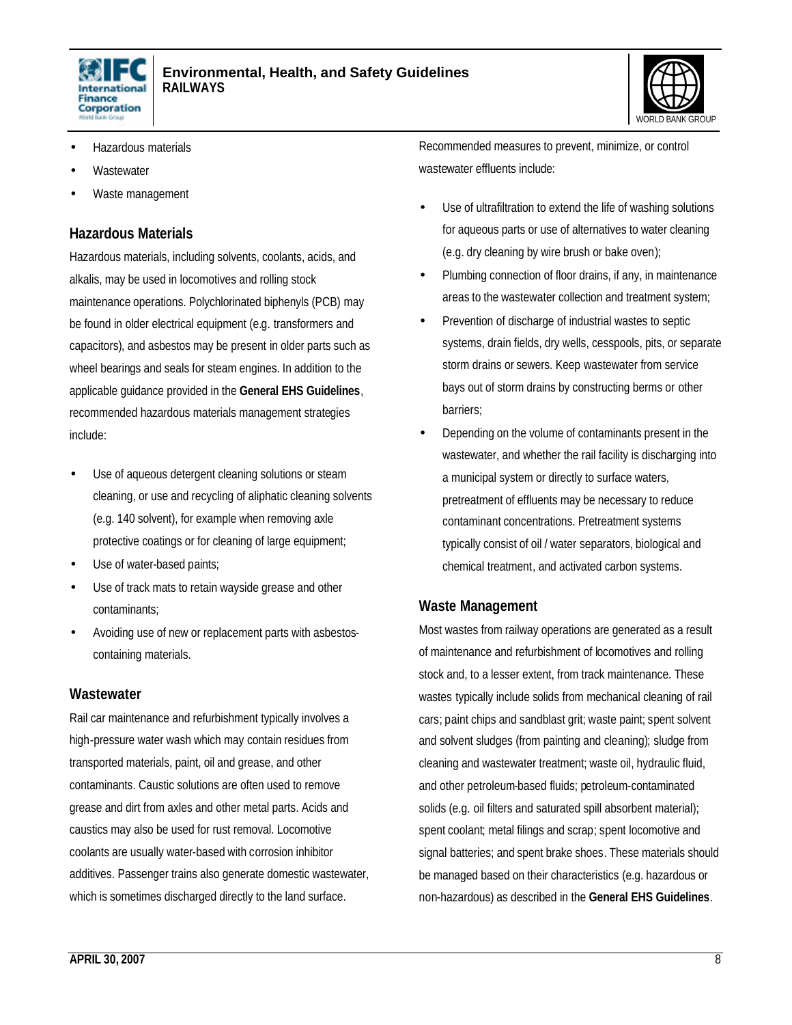



- Hazardous materials
- **Wastewater**
- Waste management

#### **Hazardous Materials**

Hazardous materials, including solvents, coolants, acids, and alkalis, may be used in locomotives and rolling stock maintenance operations. Polychlorinated biphenyls (PCB) may be found in older electrical equipment (e.g. transformers and capacitors), and asbestos may be present in older parts such as wheel bearings and seals for steam engines. In addition to the applicable guidance provided in the **General EHS Guidelines**, recommended hazardous materials management strategies include:

- Use of aqueous detergent cleaning solutions or steam cleaning, or use and recycling of aliphatic cleaning solvents (e.g. 140 solvent), for example when removing axle protective coatings or for cleaning of large equipment;
- Use of water-based paints;
- Use of track mats to retain wayside grease and other contaminants;
- Avoiding use of new or replacement parts with asbestoscontaining materials.

#### **Wastewater**

Rail car maintenance and refurbishment typically involves a high-pressure water wash which may contain residues from transported materials, paint, oil and grease, and other contaminants. Caustic solutions are often used to remove grease and dirt from axles and other metal parts. Acids and caustics may also be used for rust removal. Locomotive coolants are usually water-based with corrosion inhibitor additives. Passenger trains also generate domestic wastewater, which is sometimes discharged directly to the land surface.

Recommended measures to prevent, minimize, or control wastewater effluents include:

- Use of ultrafiltration to extend the life of washing solutions for aqueous parts or use of alternatives to water cleaning (e.g. dry cleaning by wire brush or bake oven);
- Plumbing connection of floor drains, if any, in maintenance areas to the wastewater collection and treatment system;
- Prevention of discharge of industrial wastes to septic systems, drain fields, dry wells, cesspools, pits, or separate storm drains or sewers. Keep wastewater from service bays out of storm drains by constructing berms or other barriers;
- Depending on the volume of contaminants present in the wastewater, and whether the rail facility is discharging into a municipal system or directly to surface waters, pretreatment of effluents may be necessary to reduce contaminant concentrations. Pretreatment systems typically consist of oil / water separators, biological and chemical treatment, and activated carbon systems.

#### **Waste Management**

Most wastes from railway operations are generated as a result of maintenance and refurbishment of locomotives and rolling stock and, to a lesser extent, from track maintenance. These wastes typically include solids from mechanical cleaning of rail cars; paint chips and sandblast grit; waste paint; spent solvent and solvent sludges (from painting and cleaning); sludge from cleaning and wastewater treatment; waste oil, hydraulic fluid, and other petroleum-based fluids; petroleum-contaminated solids (e.g. oil filters and saturated spill absorbent material); spent coolant; metal filings and scrap; spent locomotive and signal batteries; and spent brake shoes. These materials should be managed based on their characteristics (e.g. hazardous or non-hazardous) as described in the **General EHS Guidelines**.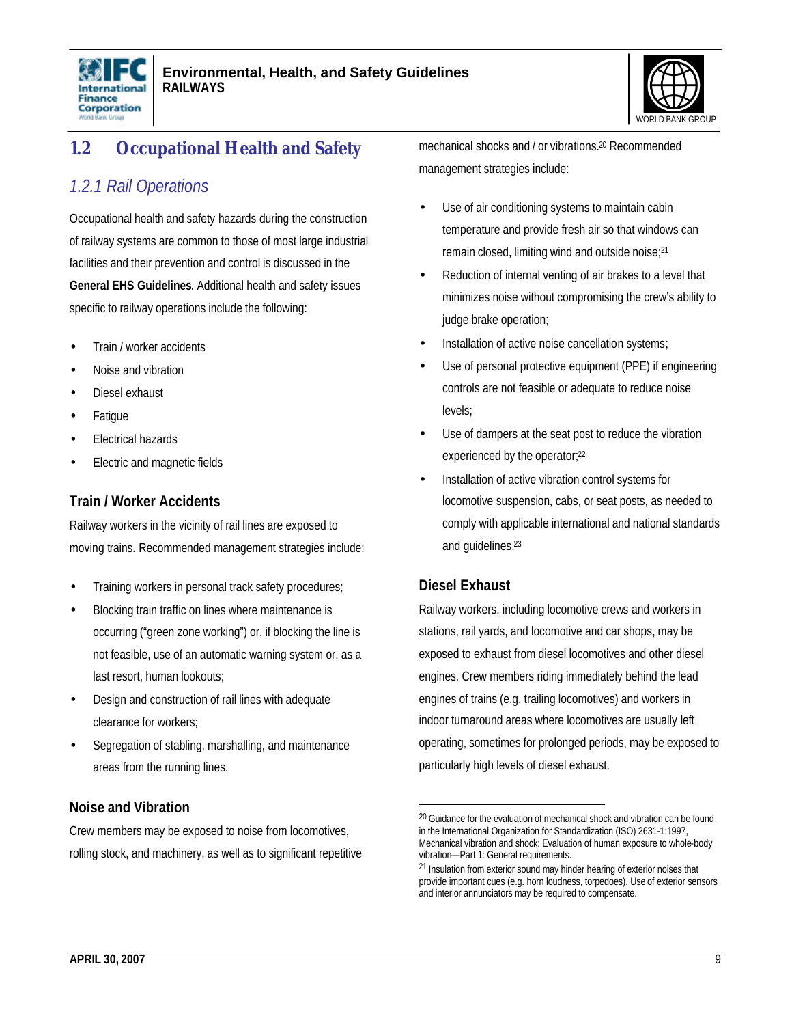



# **1.2 Occupational Health and Safety**

### *1.2.1 Rail Operations*

Occupational health and safety hazards during the construction of railway systems are common to those of most large industrial facilities and their prevention and control is discussed in the **General EHS Guidelines**. Additional health and safety issues specific to railway operations include the following:

- Train / worker accidents
- Noise and vibration
- Diesel exhaust
- **Fatigue**
- Electrical hazards
- Electric and magnetic fields

### **Train / Worker Accidents**

Railway workers in the vicinity of rail lines are exposed to moving trains. Recommended management strategies include:

- Training workers in personal track safety procedures;
- Blocking train traffic on lines where maintenance is occurring ("green zone working") or, if blocking the line is not feasible, use of an automatic warning system or, as a last resort, human lookouts;
- Design and construction of rail lines with adequate clearance for workers;
- Segregation of stabling, marshalling, and maintenance areas from the running lines.

### **Noise and Vibration**

Crew members may be exposed to noise from locomotives, rolling stock, and machinery, as well as to significant repetitive mechanical shocks and / or vibrations.20 Recommended management strategies include:

- Use of air conditioning systems to maintain cabin temperature and provide fresh air so that windows can remain closed, limiting wind and outside noise;<sup>21</sup>
- Reduction of internal venting of air brakes to a level that minimizes noise without compromising the crew's ability to judge brake operation;
- Installation of active noise cancellation systems;
- Use of personal protective equipment (PPE) if engineering controls are not feasible or adequate to reduce noise levels;
- Use of dampers at the seat post to reduce the vibration experienced by the operator;<sup>22</sup>
- Installation of active vibration control systems for locomotive suspension, cabs, or seat posts, as needed to comply with applicable international and national standards and guidelines.<sup>23</sup>

### **Diesel Exhaust**

 $\overline{a}$ 

Railway workers, including locomotive crews and workers in stations, rail yards, and locomotive and car shops, may be exposed to exhaust from diesel locomotives and other diesel engines. Crew members riding immediately behind the lead engines of trains (e.g. trailing locomotives) and workers in indoor turnaround areas where locomotives are usually left operating, sometimes for prolonged periods, may be exposed to particularly high levels of diesel exhaust.

<sup>&</sup>lt;sup>20</sup> Guidance for the evaluation of mechanical shock and vibration can be found in the International Organization for Standardization (ISO) 2631-1:1997, Mechanical vibration and shock: Evaluation of human exposure to whole-body vibration—Part 1: General requirements.

<sup>&</sup>lt;sup>21</sup> Insulation from exterior sound may hinder hearing of exterior noises that provide important cues (e.g. horn loudness, torpedoes). Use of exterior sensors and interior annunciators may be required to compensate.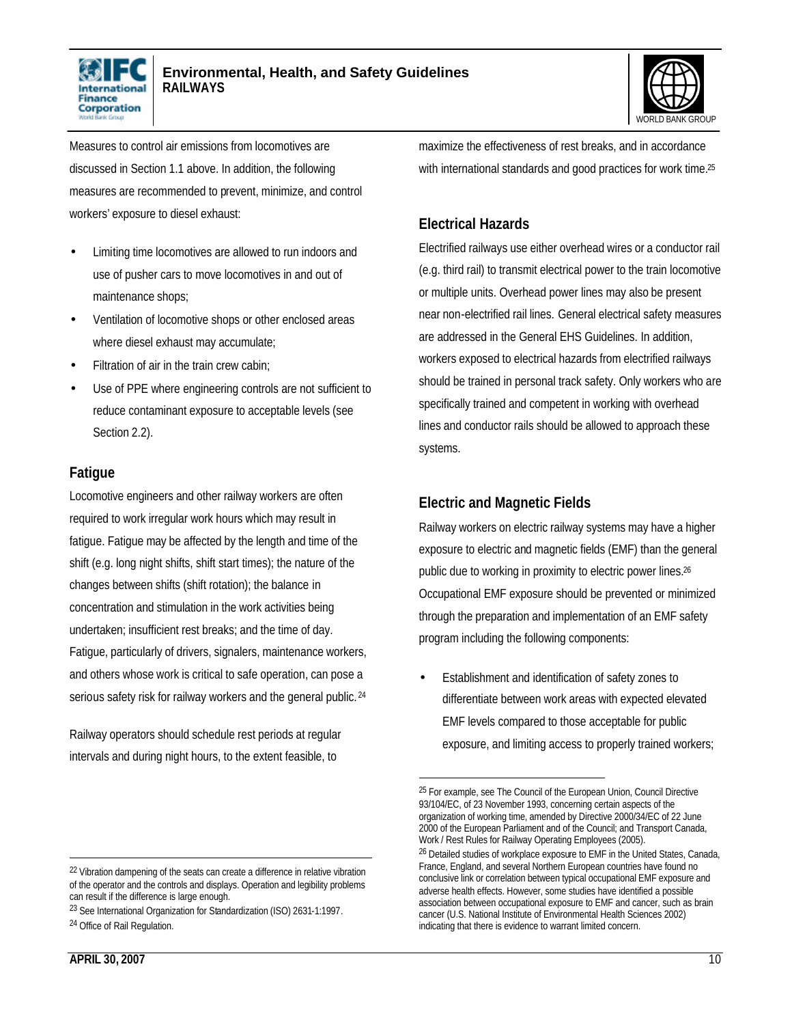



Measures to control air emissions from locomotives are discussed in Section 1.1 above. In addition, the following measures are recommended to prevent, minimize, and control workers' exposure to diesel exhaust:

- Limiting time locomotives are allowed to run indoors and use of pusher cars to move locomotives in and out of maintenance shops;
- Ventilation of locomotive shops or other enclosed areas where diesel exhaust may accumulate;
- Filtration of air in the train crew cabin;
- Use of PPE where engineering controls are not sufficient to reduce contaminant exposure to acceptable levels (see Section 2.2).

### **Fatigue**

Locomotive engineers and other railway workers are often required to work irregular work hours which may result in fatigue. Fatigue may be affected by the length and time of the shift (e.g. long night shifts, shift start times); the nature of the changes between shifts (shift rotation); the balance in concentration and stimulation in the work activities being undertaken; insufficient rest breaks; and the time of day. Fatigue, particularly of drivers, signalers, maintenance workers, and others whose work is critical to safe operation, can pose a serious safety risk for railway workers and the general public. <sup>24</sup>

Railway operators should schedule rest periods at regular intervals and during night hours, to the extent feasible, to

maximize the effectiveness of rest breaks, and in accordance with international standards and good practices for work time.<sup>25</sup>

### **Electrical Hazards**

Electrified railways use either overhead wires or a conductor rail (e.g. third rail) to transmit electrical power to the train locomotive or multiple units. Overhead power lines may also be present near non-electrified rail lines. General electrical safety measures are addressed in the General EHS Guidelines. In addition, workers exposed to electrical hazards from electrified railways should be trained in personal track safety. Only workers who are specifically trained and competent in working with overhead lines and conductor rails should be allowed to approach these systems.

### **Electric and Magnetic Fields**

l

Railway workers on electric railway systems may have a higher exposure to electric and magnetic fields (EMF) than the general public due to working in proximity to electric power lines.<sup>26</sup> Occupational EMF exposure should be prevented or minimized through the preparation and implementation of an EMF safety program including the following components:

• Establishment and identification of safety zones to differentiate between work areas with expected elevated EMF levels compared to those acceptable for public exposure, and limiting access to properly trained workers;

 $\overline{\phantom{a}}$ 

<sup>&</sup>lt;sup>25</sup> For example, see The Council of the European Union, Council Directive 93/104/EC, of 23 November 1993, concerning certain aspects of the organization of working time, amended by Directive 2000/34/EC of 22 June 2000 of the European Parliament and of the Council; and Transport Canada, Work / Rest Rules for Railway Operating Employees (2005).

<sup>&</sup>lt;sup>26</sup> Detailed studies of workplace exposure to EMF in the United States, Canada, France, England, and several Northern European countries have found no conclusive link or correlation between typical occupational EMF exposure and adverse health effects. However, some studies have identified a possible association between occupational exposure to EMF and cancer, such as brain cancer (U.S. National Institute of Environmental Health Sciences 2002) indicating that there is evidence to warrant limited concern.

<sup>&</sup>lt;sup>22</sup> Vibration dampening of the seats can create a difference in relative vibration of the operator and the controls and displays. Operation and legibility problems can result if the difference is large enough.

<sup>23</sup> See International Organization for Standardization (ISO) 2631-1:1997. 24 Office of Rail Regulation.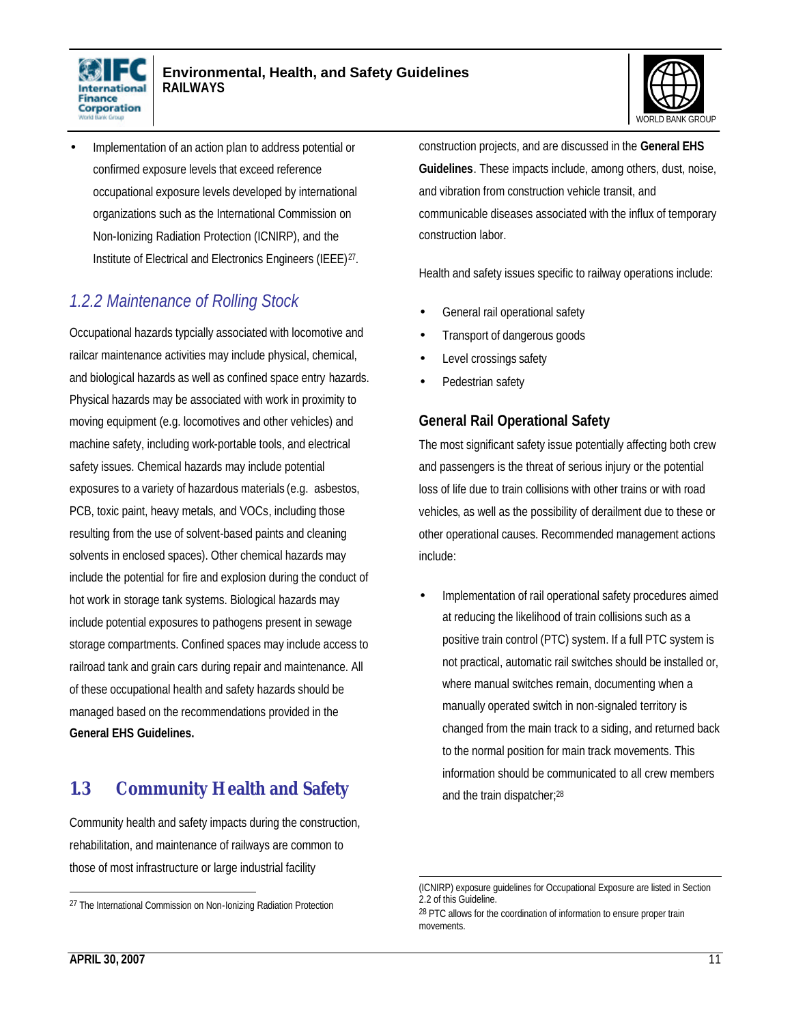



• Implementation of an action plan to address potential or confirmed exposure levels that exceed reference occupational exposure levels developed by international organizations such as the International Commission on Non-Ionizing Radiation Protection (ICNIRP), and the Institute of Electrical and Electronics Engineers (IEEE)<sup>27</sup>.

### *1.2.2 Maintenance of Rolling Stock*

Occupational hazards typcially associated with locomotive and railcar maintenance activities may include physical, chemical, and biological hazards as well as confined space entry hazards. Physical hazards may be associated with work in proximity to moving equipment (e.g. locomotives and other vehicles) and machine safety, including work-portable tools, and electrical safety issues. Chemical hazards may include potential exposures to a variety of hazardous materials (e.g. asbestos, PCB, toxic paint, heavy metals, and VOCs, including those resulting from the use of solvent-based paints and cleaning solvents in enclosed spaces). Other chemical hazards may include the potential for fire and explosion during the conduct of hot work in storage tank systems. Biological hazards may include potential exposures to pathogens present in sewage storage compartments. Confined spaces may include access to railroad tank and grain cars during repair and maintenance. All of these occupational health and safety hazards should be managed based on the recommendations provided in the **General EHS Guidelines.** 

### **1.3 Community Health and Safety**

Community health and safety impacts during the construction, rehabilitation, and maintenance of railways are common to those of most infrastructure or large industrial facility

construction projects, and are discussed in the **General EHS Guidelines**. These impacts include, among others, dust, noise, and vibration from construction vehicle transit, and communicable diseases associated with the influx of temporary construction labor.

Health and safety issues specific to railway operations include:

- General rail operational safety
- Transport of dangerous goods
- Level crossings safety
- Pedestrian safety

### **General Rail Operational Safety**

The most significant safety issue potentially affecting both crew and passengers is the threat of serious injury or the potential loss of life due to train collisions with other trains or with road vehicles, as well as the possibility of derailment due to these or other operational causes. Recommended management actions include:

• Implementation of rail operational safety procedures aimed at reducing the likelihood of train collisions such as a positive train control (PTC) system. If a full PTC system is not practical, automatic rail switches should be installed or, where manual switches remain, documenting when a manually operated switch in non-signaled territory is changed from the main track to a siding, and returned back to the normal position for main track movements. This information should be communicated to all crew members and the train dispatcher;<sup>28</sup>

 $\overline{\phantom{a}}$ 

<sup>27</sup> The International Commission on Non-Ionizing Radiation Protection

<sup>-</sup>(ICNIRP) exposure guidelines for Occupational Exposure are listed in Section 2.2 of this Guideline.

<sup>&</sup>lt;sup>28</sup> PTC allows for the coordination of information to ensure proper train movements.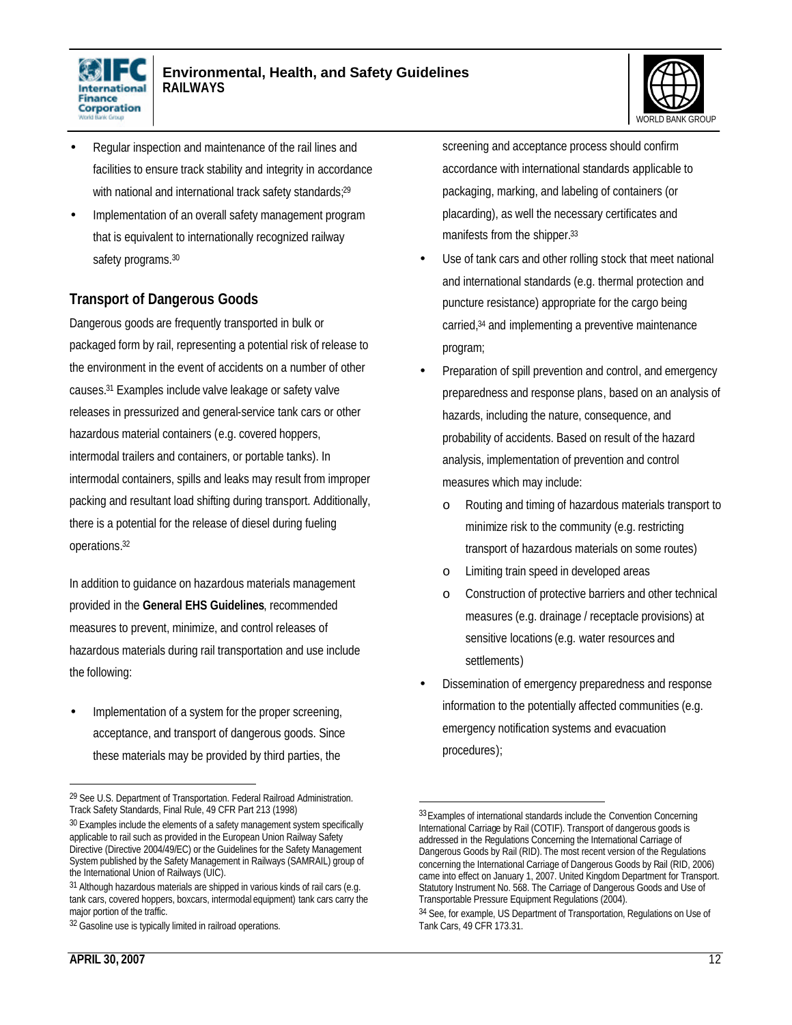



- Regular inspection and maintenance of the rail lines and facilities to ensure track stability and integrity in accordance with national and international track safety standards;<sup>29</sup>
- Implementation of an overall safety management program that is equivalent to internationally recognized railway safety programs.<sup>30</sup>

### **Transport of Dangerous Goods**

Dangerous goods are frequently transported in bulk or packaged form by rail, representing a potential risk of release to the environment in the event of accidents on a number of other causes.31 Examples include valve leakage or safety valve releases in pressurized and general-service tank cars or other hazardous material containers (e.g. covered hoppers, intermodal trailers and containers, or portable tanks). In intermodal containers, spills and leaks may result from improper packing and resultant load shifting during transport. Additionally, there is a potential for the release of diesel during fueling operations.<sup>32</sup>

In addition to guidance on hazardous materials management provided in the **General EHS Guidelines**, recommended measures to prevent, minimize, and control releases of hazardous materials during rail transportation and use include the following:

• Implementation of a system for the proper screening, acceptance, and transport of dangerous goods. Since these materials may be provided by third parties, the

 $\overline{a}$ 

screening and acceptance process should confirm accordance with international standards applicable to packaging, marking, and labeling of containers (or placarding), as well the necessary certificates and manifests from the shipper.<sup>33</sup>

- Use of tank cars and other rolling stock that meet national and international standards (e.g. thermal protection and puncture resistance) appropriate for the cargo being carried,<sup>34</sup> and implementing a preventive maintenance program;
- Preparation of spill prevention and control, and emergency preparedness and response plans, based on an analysis of hazards, including the nature, consequence, and probability of accidents. Based on result of the hazard analysis, implementation of prevention and control measures which may include:
	- o Routing and timing of hazardous materials transport to minimize risk to the community (e.g. restricting transport of hazardous materials on some routes)
	- o Limiting train speed in developed areas
	- o Construction of protective barriers and other technical measures (e.g. drainage / receptacle provisions) at sensitive locations (e.g. water resources and settlements)
- Dissemination of emergency preparedness and response information to the potentially affected communities (e.g. emergency notification systems and evacuation procedures);

<sup>29</sup> See U.S. Department of Transportation. Federal Railroad Administration. Track Safety Standards, Final Rule, 49 CFR Part 213 (1998)

<sup>&</sup>lt;sup>30</sup> Examples include the elements of a safety management system specifically applicable to rail such as provided in the European Union Railway Safety Directive (Directive 2004/49/EC) or the Guidelines for the Safety Management System published by the Safety Management in Railways (SAMRAIL) group of the International Union of Railways (UIC).

 $31$  Although hazardous materials are shipped in various kinds of rail cars (e.g. tank cars, covered hoppers, boxcars, intermodal equipment) tank cars carry the major portion of the traffic.

<sup>&</sup>lt;sup>32</sup> Gasoline use is typically limited in railroad operations.

<sup>33</sup> Examples of international standards include the Convention Concerning International Carriage by Rail (COTIF). Transport of dangerous goods is addressed in the Regulations Concerning the International Carriage of Dangerous Goods by Rail (RID). The most recent version of the Regulations concerning the International Carriage of Dangerous Goods by Rail (RID, 2006) came into effect on January 1, 2007. United Kingdom Department for Transport. Statutory Instrument No. 568. The Carriage of Dangerous Goods and Use of Transportable Pressure Equipment Regulations (2004).

<sup>&</sup>lt;sup>34</sup> See, for example, US Department of Transportation, Regulations on Use of Tank Cars, 49 CFR 173.31.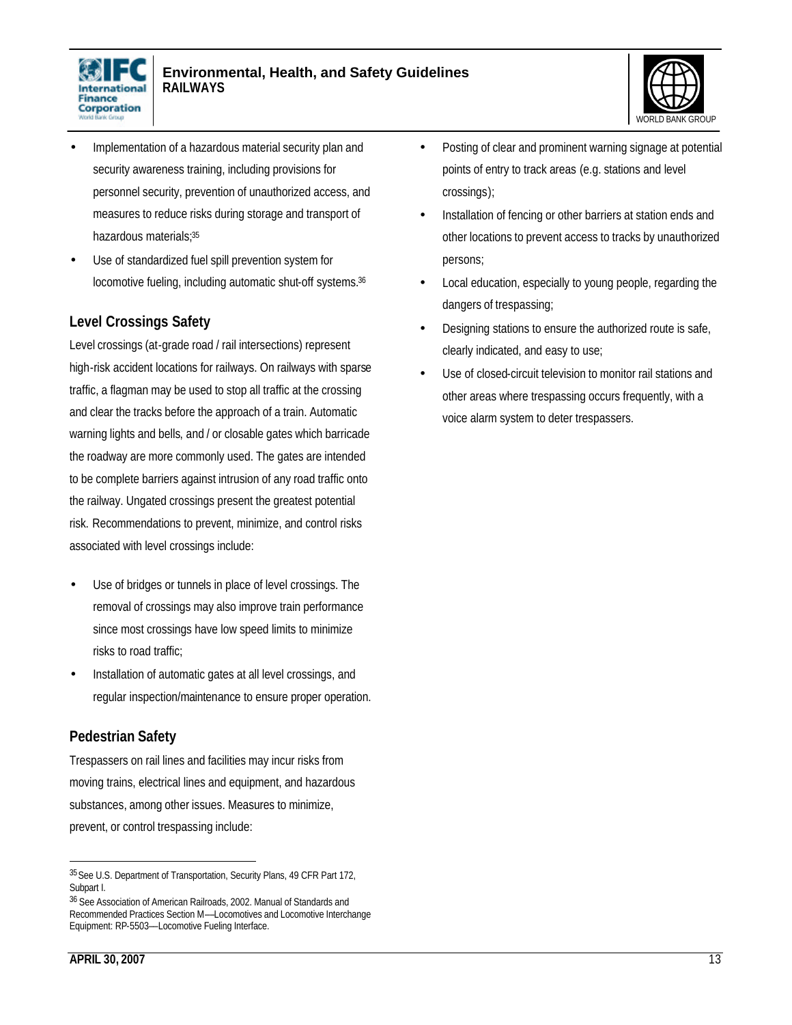



- Implementation of a hazardous material security plan and security awareness training, including provisions for personnel security, prevention of unauthorized access, and measures to reduce risks during storage and transport of hazardous materials;<sup>35</sup>
- Use of standardized fuel spill prevention system for locomotive fueling, including automatic shut-off systems.<sup>36</sup>

### **Level Crossings Safety**

Level crossings (at-grade road / rail intersections) represent high-risk accident locations for railways. On railways with sparse traffic, a flagman may be used to stop all traffic at the crossing and clear the tracks before the approach of a train. Automatic warning lights and bells, and / or closable gates which barricade the roadway are more commonly used. The gates are intended to be complete barriers against intrusion of any road traffic onto the railway. Ungated crossings present the greatest potential risk. Recommendations to prevent, minimize, and control risks associated with level crossings include:

- Use of bridges or tunnels in place of level crossings. The removal of crossings may also improve train performance since most crossings have low speed limits to minimize risks to road traffic;
- Installation of automatic gates at all level crossings, and regular inspection/maintenance to ensure proper operation.

### **Pedestrian Safety**

Trespassers on rail lines and facilities may incur risks from moving trains, electrical lines and equipment, and hazardous substances, among other issues. Measures to minimize, prevent, or control trespassing include:

- Posting of clear and prominent warning signage at potential points of entry to track areas (e.g. stations and level crossings);
- Installation of fencing or other barriers at station ends and other locations to prevent access to tracks by unauthorized persons;
- Local education, especially to young people, regarding the dangers of trespassing;
- Designing stations to ensure the authorized route is safe, clearly indicated, and easy to use;
- Use of closed-circuit television to monitor rail stations and other areas where trespassing occurs frequently, with a voice alarm system to deter trespassers.

<sup>35</sup>See U.S. Department of Transportation, Security Plans, 49 CFR Part 172, Subpart I.

<sup>36</sup> See Association of American Railroads, 2002. Manual of Standards and Recommended Practices Section M––Locomotives and Locomotive Interchange Equipment: RP-5503––Locomotive Fueling Interface.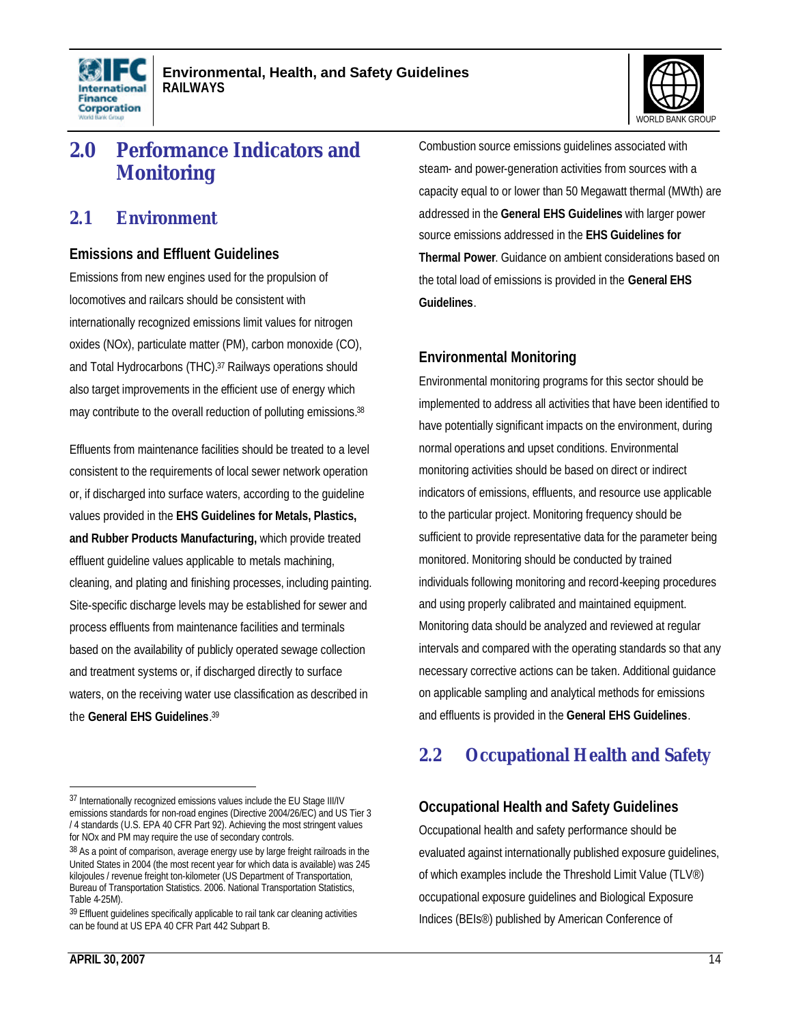



# **2.0 Performance Indicators and Monitoring**

### **2.1 Environment**

#### **Emissions and Effluent Guidelines**

Emissions from new engines used for the propulsion of locomotives and railcars should be consistent with internationally recognized emissions limit values for nitrogen oxides (NOx), particulate matter (PM), carbon monoxide (CO), and Total Hydrocarbons (THC).37 Railways operations should also target improvements in the efficient use of energy which may contribute to the overall reduction of polluting emissions.<sup>38</sup>

Effluents from maintenance facilities should be treated to a level consistent to the requirements of local sewer network operation or, if discharged into surface waters, according to the guideline values provided in the **EHS Guidelines for Metals, Plastics, and Rubber Products Manufacturing,** which provide treated effluent guideline values applicable to metals machining, cleaning, and plating and finishing processes, including painting. Site-specific discharge levels may be established for sewer and process effluents from maintenance facilities and terminals based on the availability of publicly operated sewage collection and treatment systems or, if discharged directly to surface waters, on the receiving water use classification as described in the **General EHS Guidelines**. 39

Combustion source emissions guidelines associated with steam- and power-generation activities from sources with a capacity equal to or lower than 50 Megawatt thermal (MWth) are addressed in the **General EHS Guidelines** with larger power source emissions addressed in the **EHS Guidelines for Thermal Power**. Guidance on ambient considerations based on the total load of emissions is provided in the **General EHS Guidelines**.

### **Environmental Monitoring**

Environmental monitoring programs for this sector should be implemented to address all activities that have been identified to have potentially significant impacts on the environment, during normal operations and upset conditions. Environmental monitoring activities should be based on direct or indirect indicators of emissions, effluents, and resource use applicable to the particular project. Monitoring frequency should be sufficient to provide representative data for the parameter being monitored. Monitoring should be conducted by trained individuals following monitoring and record-keeping procedures and using properly calibrated and maintained equipment. Monitoring data should be analyzed and reviewed at regular intervals and compared with the operating standards so that any necessary corrective actions can be taken. Additional guidance on applicable sampling and analytical methods for emissions and effluents is provided in the **General EHS Guidelines**.

## **2.2 Occupational Health and Safety**

### **Occupational Health and Safety Guidelines**

Occupational health and safety performance should be evaluated against internationally published exposure guidelines, of which examples include the Threshold Limit Value (TLV®) occupational exposure guidelines and Biological Exposure Indices (BEIs®) published by American Conference of

<sup>&</sup>lt;sup>37</sup> Internationally recognized emissions values include the EU Stage III/IV emissions standards for non-road engines (Directive 2004/26/EC) and US Tier 3 / 4 standards (U.S. EPA 40 CFR Part 92). Achieving the most stringent values for NOx and PM may require the use of secondary controls.

<sup>38</sup> As a point of comparison, average energy use by large freight railroads in the United States in 2004 (the most recent year for which data is available) was 245 kilojoules / revenue freight ton-kilometer (US Department of Transportation, Bureau of Transportation Statistics. 2006. National Transportation Statistics, Table 4-25M).

 $39$  Effluent guidelines specifically applicable to rail tank car cleaning activities can be found at US EPA 40 CFR Part 442 Subpart B.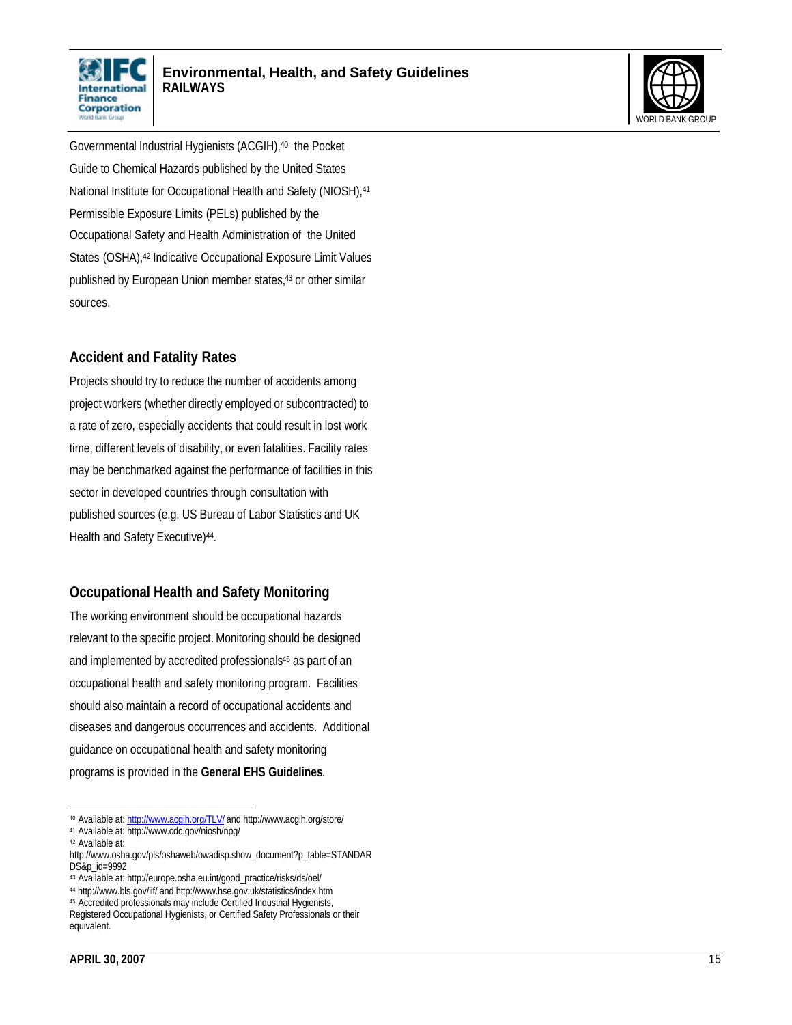



Governmental Industrial Hygienists (ACGIH),40 the Pocket Guide to Chemical Hazards published by the United States National Institute for Occupational Health and Safety (NIOSH), 41 Permissible Exposure Limits (PELs) published by the Occupational Safety and Health Administration of the United States (OSHA), <sup>42</sup> Indicative Occupational Exposure Limit Values published by European Union member states,43 or other similar sources.

### **Accident and Fatality Rates**

Projects should try to reduce the number of accidents among project workers (whether directly employed or subcontracted) to a rate of zero, especially accidents that could result in lost work time, different levels of disability, or even fatalities. Facility rates may be benchmarked against the performance of facilities in this sector in developed countries through consultation with published sources (e.g. US Bureau of Labor Statistics and UK Health and Safety Executive)<sup>44</sup>.

### **Occupational Health and Safety Monitoring**

The working environment should be occupational hazards relevant to the specific project. Monitoring should be designed and implemented by accredited professionals<sup>45</sup> as part of an occupational health and safety monitoring program. Facilities should also maintain a record of occupational accidents and diseases and dangerous occurrences and accidents. Additional guidance on occupational health and safety monitoring programs is provided in the **General EHS Guidelines**.

 $\overline{a}$ 40 Available at: http://www.acqih.org/TLV/ and http://www.acgih.org/store/

<sup>41</sup> Available at: http://www.cdc.gov/niosh/npg/

<sup>42</sup> Available at:

http://www.osha.gov/pls/oshaweb/owadisp.show\_document?p\_table=STANDAR DS&p\_id=9992

<sup>43</sup> Available at: http://europe.osha.eu.int/good\_practice/risks/ds/oel/

<sup>44</sup> http://www.bls.gov/iif/ and http://www.hse.gov.uk/statistics/index.htm

<sup>45</sup> Accredited professionals may include Certified Industrial Hygienists,

Registered Occupational Hygienists, or Certified Safety Professionals or their equivalent.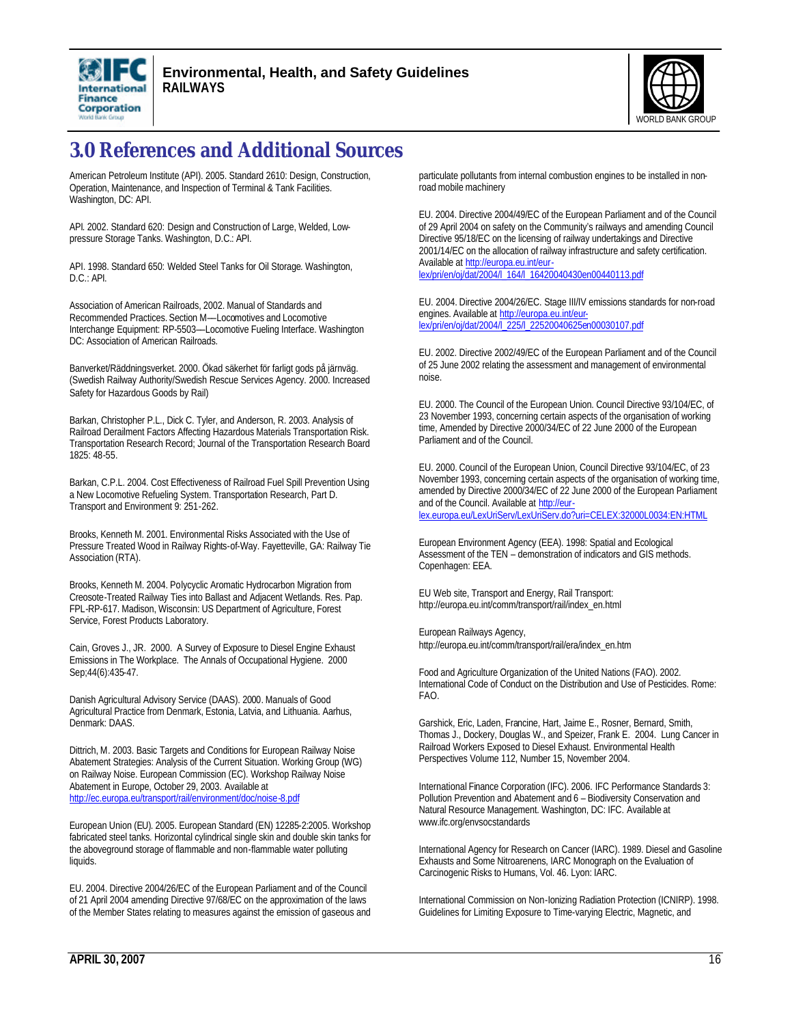



# **3.0 References and Additional Sources**

American Petroleum Institute (API). 2005. Standard 2610: Design, Construction, Operation, Maintenance, and Inspection of Terminal & Tank Facilities. Washington, DC: API.

API. 2002. Standard 620: Design and Construction of Large, Welded, Lowpressure Storage Tanks. Washington, D.C.: API.

API. 1998. Standard 650: Welded Steel Tanks for Oil Storage. Washington, D.C.: API.

Association of American Railroads, 2002. Manual of Standards and Recommended Practices. Section M––Locomotives and Locomotive Interchange Equipment: RP-5503––Locomotive Fueling Interface. Washington DC: Association of American Railroads.

Banverket/Räddningsverket. 2000. Ökad säkerhet för farligt gods på järnväg. (Swedish Railway Authority/Swedish Rescue Services Agency. 2000. Increased Safety for Hazardous Goods by Rail)

Barkan, Christopher P.L., Dick C. Tyler, and Anderson, R. 2003. Analysis of Railroad Derailment Factors Affecting Hazardous Materials Transportation Risk. Transportation Research Record; Journal of the Transportation Research Board 1825: 48-55.

Barkan, C.P.L. 2004. Cost Effectiveness of Railroad Fuel Spill Prevention Using a New Locomotive Refueling System. Transportation Research, Part D. Transport and Environment 9: 251-262.

Brooks, Kenneth M. 2001. Environmental Risks Associated with the Use of Pressure Treated Wood in Railway Rights-of-Way. Fayetteville, GA: Railway Tie Association (RTA).

Brooks, Kenneth M. 2004. Polycyclic Aromatic Hydrocarbon Migration from Creosote-Treated Railway Ties into Ballast and Adjacent Wetlands. Res. Pap. FPL-RP-617. Madison, Wisconsin: US Department of Agriculture, Forest Service, Forest Products Laboratory.

Cain, Groves J., JR. 2000. A Survey of Exposure to Diesel Engine Exhaust Emissions in The Workplace. The Annals of Occupational Hygiene. 2000 Sep;44(6):435-47.

Danish Agricultural Advisory Service (DAAS). 2000. Manuals of Good Agricultural Practice from Denmark, Estonia, Latvia, and Lithuania. Aarhus, Denmark: DAAS.

Dittrich, M. 2003. Basic Targets and Conditions for European Railway Noise Abatement Strategies: Analysis of the Current Situation. Working Group (WG) on Railway Noise. European Commission (EC). Workshop Railway Noise Abatement in Europe, October 29, 2003. Available at http://ec.europa.eu/transport/rail/environment/doc/noise-8.pdf

European Union (EU). 2005. European Standard (EN) 12285-2:2005. Workshop fabricated steel tanks. Horizontal cylindrical single skin and double skin tanks for the aboveground storage of flammable and non-flammable water polluting liquids.

EU. 2004. Directive 2004/26/EC of the European Parliament and of the Council of 21 April 2004 amending Directive 97/68/EC on the approximation of the laws of the Member States relating to measures against the emission of gaseous and particulate pollutants from internal combustion engines to be installed in nonroad mobile machinery

EU. 2004. Directive 2004/49/EC of the European Parliament and of the Council of 29 April 2004 on safety on the Community's railways and amending Council Directive 95/18/EC on the licensing of railway undertakings and Directive 2001/14/EC on the allocation of railway infrastructure and safety certification. Available at http://europa.eu.int/eurlex/pri/en/oj/dat/2004/l\_164/l\_16420040430en00440113.pdf

EU. 2004. Directive 2004/26/EC. Stage III/IV emissions standards for non-road engines. Available at http://europa.eu.int/eurlex/pri/en/oj/dat/2004/l\_225/l\_22520040625en00030107.pdf

EU. 2002. Directive 2002/49/EC of the European Parliament and of the Council of 25 June 2002 relating the assessment and management of environmental noise.

EU. 2000. The Council of the European Union. Council Directive 93/104/EC, of 23 November 1993, concerning certain aspects of the organisation of working time, Amended by Directive 2000/34/EC of 22 June 2000 of the European Parliament and of the Council.

EU. 2000. Council of the European Union, Council Directive 93/104/EC, of 23 November 1993, concerning certain aspects of the organisation of working time, amended by Directive 2000/34/EC of 22 June 2000 of the European Parliament and of the Council. Available at http://eurlex.europa.eu/LexUriServ/LexUriServ.do?uri=CELEX:32000L0034:EN:HTML

European Environment Agency (EEA). 1998: Spatial and Ecological Assessment of the TEN – demonstration of indicators and GIS methods. Copenhagen: EEA.

EU Web site, Transport and Energy, Rail Transport: http://europa.eu.int/comm/transport/rail/index\_en.html

European Railways Agency, http://europa.eu.int/comm/transport/rail/era/index\_en.htm

Food and Agriculture Organization of the United Nations (FAO). 2002. International Code of Conduct on the Distribution and Use of Pesticides. Rome: FAO.

Garshick, Eric, Laden, Francine, Hart, Jaime E., Rosner, Bernard, Smith, Thomas J., Dockery, Douglas W., and Speizer, Frank E. 2004. Lung Cancer in Railroad Workers Exposed to Diesel Exhaust. Environmental Health Perspectives Volume 112, Number 15, November 2004.

International Finance Corporation (IFC). 2006. IFC Performance Standards 3: Pollution Prevention and Abatement and 6 – Biodiversity Conservation and Natural Resource Management. Washington, DC: IFC. Available at www.ifc.org/envsocstandards

International Agency for Research on Cancer (IARC). 1989. Diesel and Gasoline Exhausts and Some Nitroarenens, IARC Monograph on the Evaluation of Carcinogenic Risks to Humans, Vol. 46. Lyon: IARC.

International Commission on Non-Ionizing Radiation Protection (ICNIRP). 1998. Guidelines for Limiting Exposure to Time-varying Electric, Magnetic, and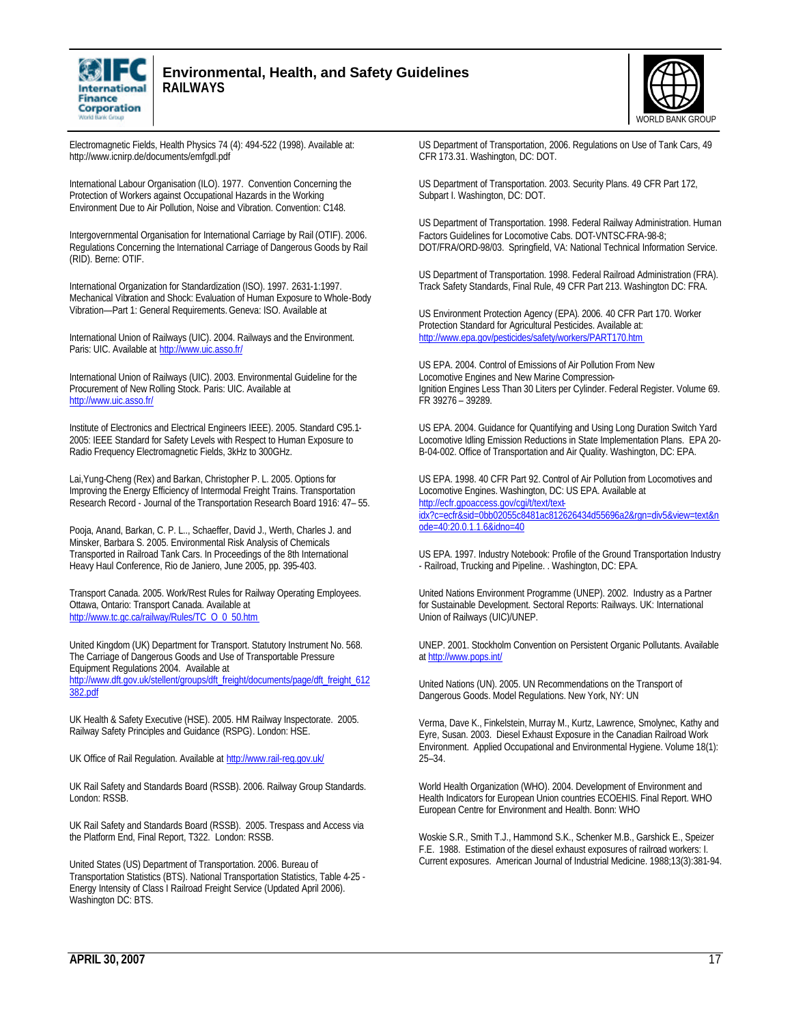

#### **Environmental, Health, and Safety Guidelines RAILWAYS**



Electromagnetic Fields, Health Physics 74 (4): 494-522 (1998). Available at: http://www.icnirp.de/documents/emfgdl.pdf

International Labour Organisation (ILO). 1977. Convention Concerning the Protection of Workers against Occupational Hazards in the Working Environment Due to Air Pollution, Noise and Vibration. Convention: C148.

Intergovernmental Organisation for International Carriage by Rail (OTIF). 2006. Regulations Concerning the International Carriage of Dangerous Goods by Rail (RID). Berne: OTIF.

International Organization for Standardization (ISO). 1997. 2631-1:1997. Mechanical Vibration and Shock: Evaluation of Human Exposure to Whole-Body Vibration—Part 1: General Requirements. Geneva: ISO. Available at

International Union of Railways (UIC). 2004. Railways and the Environment. Paris: UIC. Available at http://www.uic.asso.fr/

International Union of Railways (UIC). 2003. Environmental Guideline for the Procurement of New Rolling Stock. Paris: UIC. Available at http://www.uic.asso.fr/

Institute of Electronics and Electrical Engineers IEEE). 2005. Standard C95.1- 2005: IEEE Standard for Safety Levels with Respect to Human Exposure to Radio Frequency Electromagnetic Fields, 3kHz to 300GHz.

Lai,Yung-Cheng (Rex) and Barkan, Christopher P. L. 2005. Options for Improving the Energy Efficiency of Intermodal Freight Trains. Transportation Research Record - Journal of the Transportation Research Board 1916: 47– 55.

Pooja, Anand, Barkan, C. P. L.., Schaeffer, David J., Werth, Charles J. and Minsker, Barbara S. 2005. Environmental Risk Analysis of Chemicals Transported in Railroad Tank Cars. In Proceedings of the 8th International Heavy Haul Conference, Rio de Janiero, June 2005, pp. 395-403.

Transport Canada. 2005. Work/Rest Rules for Railway Operating Employees. Ottawa, Ontario: Transport Canada. Available at http://www.tc.gc.ca/railway/Rules/TC\_O\_0\_50.htm

United Kingdom (UK) Department for Transport. Statutory Instrument No. 568. The Carriage of Dangerous Goods and Use of Transportable Pressure Equipment Regulations 2004. Available at http://www.dft.gov.uk/stellent/groups/dft\_freight/documents/page/dft\_freight\_612

382.pdf

UK Health & Safety Executive (HSE). 2005. HM Railway Inspectorate. 2005. Railway Safety Principles and Guidance (RSPG). London: HSE.

UK Office of Rail Regulation. Available at http://www.rail-reg.gov.uk/

UK Rail Safety and Standards Board (RSSB). 2006. Railway Group Standards. London: RSSB.

UK Rail Safety and Standards Board (RSSB). 2005. Trespass and Access via the Platform End, Final Report, T322. London: RSSB.

United States (US) Department of Transportation. 2006. Bureau of Transportation Statistics (BTS). National Transportation Statistics, Table 4-25 - Energy Intensity of Class I Railroad Freight Service (Updated April 2006). Washington DC: BTS.

US Department of Transportation, 2006. Regulations on Use of Tank Cars, 49 CFR 173.31. Washington, DC: DOT.

US Department of Transportation. 2003. Security Plans. 49 CFR Part 172, Subpart I. Washington, DC: DOT.

US Department of Transportation. 1998. Federal Railway Administration. Human Factors Guidelines for Locomotive Cabs. DOT-VNTSC-FRA-98-8; DOT/FRA/ORD-98/03. Springfield, VA: National Technical Information Service.

US Department of Transportation. 1998. Federal Railroad Administration (FRA). Track Safety Standards, Final Rule, 49 CFR Part 213. Washington DC: FRA.

US Environment Protection Agency (EPA). 2006. 40 CFR Part 170. Worker Protection Standard for Agricultural Pesticides. Available at: http://www.epa.gov/pesticides/safety/workers/PART170.htm

US EPA. 2004. Control of Emissions of Air Pollution From New Locomotive Engines and New Marine Compression-Ignition Engines Less Than 30 Liters per Cylinder. Federal Register. Volume 69. FR 39276 – 39289.

US EPA. 2004. Guidance for Quantifying and Using Long Duration Switch Yard Locomotive Idling Emission Reductions in State Implementation Plans. EPA 20- B-04-002. Office of Transportation and Air Quality. Washington, DC: EPA.

US EPA. 1998. 40 CFR Part 92. Control of Air Pollution from Locomotives and Locomotive Engines. Washington, DC: US EPA. Available at http://ecfr.gpoaccess.gov/cgi/t/text/textidx?c=ecfr&sid=0bb02055c8481ac812626434d55696a2&rgn=div5&view=text&n ode=40:20.0.1.1.6&idno=40

US EPA. 1997. Industry Notebook: Profile of the Ground Transportation Industry - Railroad, Trucking and Pipeline. . Washington, DC: EPA.

United Nations Environment Programme (UNEP). 2002. Industry as a Partner for Sustainable Development. Sectoral Reports: Railways. UK: International Union of Railways (UIC)/UNEP.

UNEP. 2001. Stockholm Convention on Persistent Organic Pollutants. Available at http://www.pops.int/

United Nations (UN). 2005. UN Recommendations on the Transport of Dangerous Goods. Model Regulations. New York, NY: UN

Verma, Dave K., Finkelstein, Murray M., Kurtz, Lawrence, Smolynec, Kathy and Eyre, Susan. 2003. Diesel Exhaust Exposure in the Canadian Railroad Work Environment. Applied Occupational and Environmental Hygiene. Volume 18(1): 25–34.

World Health Organization (WHO). 2004. Development of Environment and Health Indicators for European Union countries ECOEHIS. Final Report. WHO European Centre for Environment and Health. Bonn: WHO

Woskie S.R., Smith T.J., Hammond S.K., Schenker M.B., Garshick E., Speizer F.E. 1988. Estimation of the diesel exhaust exposures of railroad workers: I. Current exposures. American Journal of Industrial Medicine. 1988;13(3):381-94.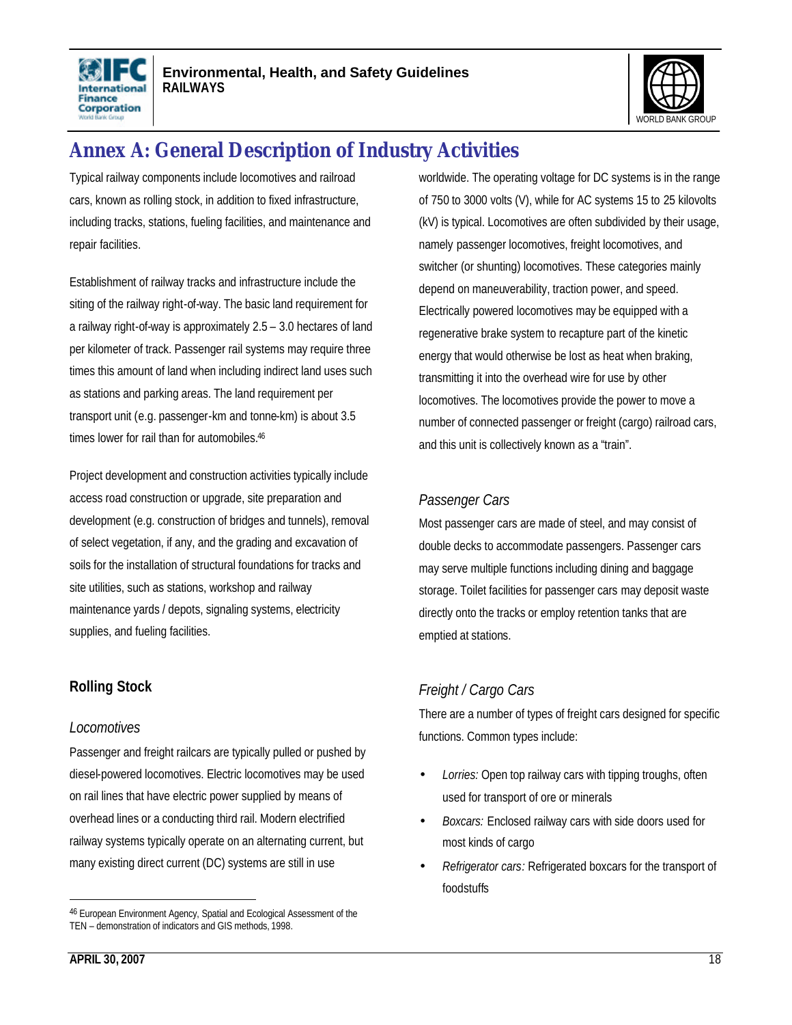



# **Annex A: General Description of Industry Activities**

Typical railway components include locomotives and railroad cars, known as rolling stock, in addition to fixed infrastructure, including tracks, stations, fueling facilities, and maintenance and repair facilities.

Establishment of railway tracks and infrastructure include the siting of the railway right-of-way. The basic land requirement for a railway right-of-way is approximately 2.5 – 3.0 hectares of land per kilometer of track. Passenger rail systems may require three times this amount of land when including indirect land uses such as stations and parking areas. The land requirement per transport unit (e.g. passenger-km and tonne-km) is about 3.5 times lower for rail than for automobiles.<sup>46</sup>

Project development and construction activities typically include access road construction or upgrade, site preparation and development (e.g. construction of bridges and tunnels), removal of select vegetation, if any, and the grading and excavation of soils for the installation of structural foundations for tracks and site utilities, such as stations, workshop and railway maintenance yards / depots, signaling systems, electricity supplies, and fueling facilities.

### **Rolling Stock**

#### *Locomotives*

Passenger and freight railcars are typically pulled or pushed by diesel-powered locomotives. Electric locomotives may be used on rail lines that have electric power supplied by means of overhead lines or a conducting third rail. Modern electrified railway systems typically operate on an alternating current, but many existing direct current (DC) systems are still in use

worldwide. The operating voltage for DC systems is in the range of 750 to 3000 volts (V), while for AC systems 15 to 25 kilovolts (kV) is typical. Locomotives are often subdivided by their usage, namely passenger locomotives, freight locomotives, and switcher (or shunting) locomotives. These categories mainly depend on maneuverability, traction power, and speed. Electrically powered locomotives may be equipped with a regenerative brake system to recapture part of the kinetic energy that would otherwise be lost as heat when braking, transmitting it into the overhead wire for use by other locomotives. The locomotives provide the power to move a number of connected passenger or freight (cargo) railroad cars, and this unit is collectively known as a "train".

### *Passenger Cars*

Most passenger cars are made of steel, and may consist of double decks to accommodate passengers. Passenger cars may serve multiple functions including dining and baggage storage. Toilet facilities for passenger cars may deposit waste directly onto the tracks or employ retention tanks that are emptied at stations.

### *Freight / Cargo Cars*

There are a number of types of freight cars designed for specific functions. Common types include:

- *Lorries:* Open top railway cars with tipping troughs, often used for transport of ore or minerals
- *Boxcars:* Enclosed railway cars with side doors used for most kinds of cargo
- *Refrigerator cars:* Refrigerated boxcars for the transport of foodstuffs

<sup>46</sup> European Environment Agency, Spatial and Ecological Assessment of the TEN – demonstration of indicators and GIS methods, 1998.